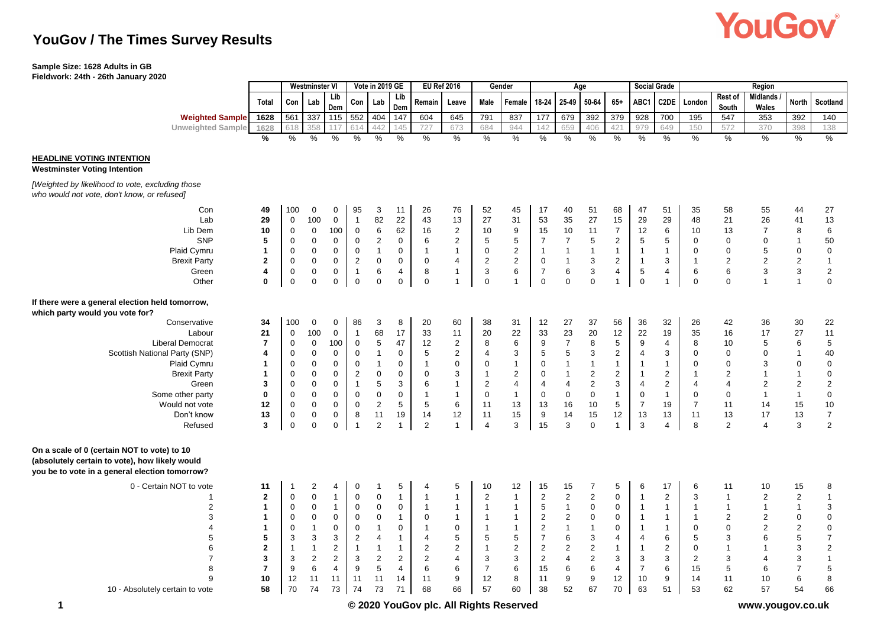# **YouGov**

## **YouGov / The Times Survey Results**

## **Sample Size: 1628 Adults in GB**

**Fieldwork: 24th - 26th January 2020**

|                                                                                                                                                 |                | Vote in 2019 GE<br><b>Westminster VI</b> |                           |                           | <b>EU Ref 2016</b><br>Gender |                |                | Age            |                |                |                  | <b>Social Grade</b> |                  | Region                    |                |                  |                           |                |                  |                   |                           |                                       |
|-------------------------------------------------------------------------------------------------------------------------------------------------|----------------|------------------------------------------|---------------------------|---------------------------|------------------------------|----------------|----------------|----------------|----------------|----------------|------------------|---------------------|------------------|---------------------------|----------------|------------------|---------------------------|----------------|------------------|-------------------|---------------------------|---------------------------------------|
|                                                                                                                                                 | Total          | Con                                      | Lab                       | Lib<br>Dem                | Con                          | Lab            | Lib<br>Dem     | Remain         | Leave          | Male           | Female           | 18-24               | 25-49            | 50-64                     | $65+$          | ABC1             | C2DE                      | London         | Rest of<br>South | Midlands<br>Wales | North                     | Scotland                              |
| <b>Weighted Sample</b>                                                                                                                          | 1628           | 561                                      | 337                       | 115                       | 552                          | 404            | 147            | 604            | 645            | 791            | 837              | 177                 | 679              | 392                       | 379            | 928              | 700                       | 195            | 547              | 353               | 392                       | 140                                   |
| <b>Unweighted Sample</b>                                                                                                                        | 1628           | 618                                      | 358                       |                           |                              | 442            | 145            | 727            | 673            | 684            | 944              | 142                 | 659              | 406                       | 421            | 979              | 649                       | 150            | 572              | 370               | 398                       | 138                                   |
|                                                                                                                                                 | $\frac{9}{6}$  | $\%$                                     | $\frac{0}{0}$             | %                         | %                            | %              | %              | %              | %              | $\%$           | $\frac{0}{0}$    | $\%$                | $\frac{0}{0}$    | %                         | %              | %                | %                         | $\frac{0}{6}$  | $\%$             | $\frac{0}{0}$     | $\%$                      | $\%$                                  |
| <b>HEADLINE VOTING INTENTION</b><br><b>Westminster Voting Intention</b>                                                                         |                |                                          |                           |                           |                              |                |                |                |                |                |                  |                     |                  |                           |                |                  |                           |                |                  |                   |                           |                                       |
| [Weighted by likelihood to vote, excluding those<br>who would not vote, don't know, or refused]                                                 |                |                                          |                           |                           |                              |                |                |                |                |                |                  |                     |                  |                           |                |                  |                           |                |                  |                   |                           |                                       |
| Con                                                                                                                                             | 49             | 100                                      | 0                         | 0                         | 95                           | 3              | 11             | 26             | 76             | 52             | 45               | 17                  | 40               | 51                        | 68             | 47               | 51                        | 35             | 58               | 55                | 44                        | 27                                    |
| Lab                                                                                                                                             | 29             | $\pmb{0}$                                | 100                       | $\mathsf{O}\xspace$       | $\mathbf{1}$                 | 82             | 22             | 43             | 13             | 27             | 31               | 53                  | 35               | 27                        | 15             | 29               | 29                        | 48             | 21               | 26                | 41                        | 13                                    |
| Lib Dem                                                                                                                                         | 10             | $\pmb{0}$                                | $\mathbf 0$               | 100                       | $\mathsf 0$                  | $\,6\,$        | 62             | 16             | $\overline{2}$ | 10             | 9                | 15                  | 10               | 11                        | $\overline{7}$ | 12               | $\,6\,$                   | 10             | 13               | $\overline{7}$    | 8                         | $\,6\,$                               |
| <b>SNP</b>                                                                                                                                      | 5              | $\mathbf 0$                              | $\mathbf 0$               | $\mathbf 0$               | 0                            | $\overline{2}$ | $\mathbf 0$    | 6              | $\overline{2}$ | 5              | 5                | $\overline{7}$      | $\overline{7}$   | 5                         | $\overline{2}$ | 5                | 5                         | $\Omega$       | $\mathbf 0$      | $\mathbf 0$       | $\mathbf{1}$              | 50                                    |
| Plaid Cymru                                                                                                                                     | $\mathbf{1}$   | $\pmb{0}$                                | $\mathsf 0$               | $\boldsymbol{0}$          | $\pmb{0}$                    | $\mathbf{1}$   | $\pmb{0}$      | $\mathbf{1}$   | $\mathbf{1}$   | $\pmb{0}$      | $\boldsymbol{2}$ | $\overline{1}$      | $\mathbf{1}$     | $\mathbf{1}$              | $\mathbf{1}$   | $\overline{1}$   | $\mathbf{1}$              | $\pmb{0}$      | $\mathbf 0$      | 5                 | $\mathbf 0$               | $\pmb{0}$                             |
| <b>Brexit Party</b>                                                                                                                             | $\bf 2$        | $\pmb{0}$                                | $\mathsf 0$               | $\mathbf 0$               | $\sqrt{2}$                   | $\pmb{0}$      | $\mathbf 0$    | $\pmb{0}$      | $\overline{4}$ | $\sqrt{2}$     | $\overline{c}$   | $\mathsf 0$         | $\mathbf{1}$     | 3                         | $\overline{2}$ | $\overline{1}$   | $\ensuremath{\mathsf{3}}$ | $\overline{1}$ | $\overline{2}$   | $\boldsymbol{2}$  | $\overline{2}$            | $\mathbf{1}$                          |
| Green                                                                                                                                           | 4              | $\pmb{0}$                                | $\pmb{0}$                 | $\pmb{0}$                 | $\mathbf{1}$                 | $\,6\,$        | $\overline{4}$ | 8              | $\mathbf 1$    | $\sqrt{3}$     | 6                | $\boldsymbol{7}$    | $\,6$            | $\ensuremath{\mathsf{3}}$ | 4              | $\sqrt{5}$       | 4                         | 6              | 6                | $\sqrt{3}$        | $\ensuremath{\mathsf{3}}$ | $\sqrt{2}$                            |
| Other                                                                                                                                           | $\bf{0}$       | $\mathbf{0}$                             | $\Omega$                  | $\Omega$                  | $\mathbf 0$                  | $\mathbf 0$    | $\mathbf 0$    | $\mathbf 0$    |                | $\mathbf 0$    | $\overline{1}$   | $\mathbf 0$         | $\Omega$         | $\Omega$                  | $\mathbf{1}$   | $\mathbf 0$      | $\overline{1}$            | $\mathbf 0$    | $\Omega$         | $\overline{1}$    | $\overline{1}$            | $\mathbf 0$                           |
| If there were a general election held tomorrow,<br>which party would you vote for?                                                              |                |                                          |                           |                           |                              |                |                |                |                |                |                  |                     |                  |                           |                |                  |                           |                |                  |                   |                           |                                       |
| Conservative                                                                                                                                    | 34             | 100                                      | $\pmb{0}$                 | 0                         | 86                           | 3              | 8              | 20             | 60             | 38             | 31               | 12                  | 27               | 37                        | 56             | 36               | 32                        | 26             | 42               | 36                | 30                        | 22                                    |
| Labour                                                                                                                                          | 21             | $\pmb{0}$                                | 100                       | $\mathbf 0$               | $\mathbf{1}$                 | 68             | 17             | 33             | 11             | 20             | 22               | 33                  | 23               | 20                        | 12             | 22               | 19                        | 35             | 16               | 17                | 27                        | 11                                    |
| <b>Liberal Democrat</b>                                                                                                                         | $\overline{7}$ | $\mathbf 0$                              | $\mathbf 0$               | 100                       | $\pmb{0}$                    | $\sqrt{5}$     | 47             | 12             | $\overline{2}$ | 8              | 6                | 9                   | $\overline{7}$   | 8                         | $\overline{5}$ | $\boldsymbol{9}$ | $\overline{\mathbf{4}}$   | 8              | 10               | 5                 | 6                         | $\sqrt{5}$                            |
| Scottish National Party (SNP)                                                                                                                   | $\overline{4}$ | $\mathbf 0$                              | $\mathbf 0$               | $\mathbf 0$               | $\mathbf 0$                  | $\mathbf{1}$   | $\mathbf 0$    | 5              | $\overline{2}$ | $\overline{4}$ | 3                | 5                   | 5                | 3                         | $\overline{2}$ | $\overline{4}$   | 3                         | $\Omega$       | $\mathbf 0$      | $\mathbf 0$       | $\mathbf{1}$              | $40\,$                                |
| Plaid Cymru                                                                                                                                     | $\overline{1}$ | $\pmb{0}$                                | $\mathbf 0$               | $\Omega$                  | $\mathbf 0$                  | $\mathbf{1}$   | $\Omega$       | $\mathbf{1}$   | $\Omega$       | $\Omega$       | $\mathbf{1}$     | 0                   | $\mathbf{1}$     | $\overline{1}$            | $\mathbf{1}$   | $\overline{1}$   | $\mathbf{1}$              | $\Omega$       | $\Omega$         | 3                 | $\mathbf 0$               | $\pmb{0}$                             |
| <b>Brexit Party</b>                                                                                                                             | $\mathbf{1}$   | $\mathbf 0$                              | $\mathbf 0$               | $\mathbf 0$               | $\sqrt{2}$                   | $\mathbf 0$    | $\mathbf 0$    | $\mathbf 0$    | 3              | $\mathbf{1}$   | $\sqrt{2}$       | 0                   | $\mathbf{1}$     | $\overline{c}$            | $\overline{2}$ | $\overline{1}$   | $\sqrt{2}$                | 1              | $\overline{2}$   | $\overline{1}$    | $\mathbf{1}$              | $\pmb{0}$                             |
| Green                                                                                                                                           | 3              | $\mathbf 0$                              | $\boldsymbol{0}$          | $\mathbf 0$               | $\mathbf{1}$                 | 5              | 3              | 6              | $\mathbf{1}$   | $\overline{2}$ | 4                | $\overline{4}$      | $\overline{4}$   | $\overline{c}$            | 3              | $\overline{4}$   | $\sqrt{2}$                | 4              | $\overline{4}$   | $\overline{2}$    | $\overline{2}$            | $\overline{c}$                        |
| Some other party                                                                                                                                | $\bf{0}$       | $\mathbf 0$                              | $\mathsf 0$               | $\mathbf 0$               | $\pmb{0}$                    | $\pmb{0}$      | $\mathbf 0$    | $\mathbf{1}$   | $\mathbf{1}$   | $\mathbf 0$    | $\mathbf{1}$     | $\mathbf 0$         | $\mathbf 0$      | $\mathbf 0$               | $\mathbf{1}$   | $\pmb{0}$        | $\mathbf{1}$              | $\mathbf 0$    | $\mathbf 0$      | $\overline{1}$    | $\overline{1}$            | $\pmb{0}$                             |
| Would not vote                                                                                                                                  | 12             | $\mathbf 0$                              | $\pmb{0}$                 | $\mathbf 0$               | $\mathbf 0$                  | $\overline{2}$ | 5              | 5              | 6              | 11             | 13               | 13                  | 16               | 10                        | 5              | $\overline{7}$   | 19                        | $\overline{7}$ | 11               | 14                | 15                        | $10$                                  |
| Don't know                                                                                                                                      | 13             | $\mathbf 0$                              | $\mathbf 0$               | 0                         | $\, 8$                       | 11             | 19             | 14             | 12             | 11             | 15               | 9                   | 14               | 15                        | 12             | 13               | 13                        | 11             | 13               | 17                | 13                        | $\boldsymbol{7}$                      |
| Refused                                                                                                                                         | 3              | $\mathbf 0$                              | $\mathbf 0$               | $\mathbf 0$               | $\overline{1}$               | $\overline{2}$ | $\overline{1}$ | $\overline{2}$ | $\mathbf{1}$   | $\overline{4}$ | 3                | 15                  | 3                | $\mathbf 0$               | $\mathbf{1}$   | 3                | $\overline{4}$            | 8              | 2                | $\overline{4}$    | 3                         | $\overline{c}$                        |
| On a scale of 0 (certain NOT to vote) to 10<br>(absolutely certain to vote), how likely would<br>you be to vote in a general election tomorrow? |                |                                          |                           |                           |                              |                |                |                |                |                |                  |                     |                  |                           |                |                  |                           |                |                  |                   |                           |                                       |
| 0 - Certain NOT to vote                                                                                                                         | 11             | $\mathbf{1}$                             | $\sqrt{2}$                | 4                         | $\pmb{0}$                    | -1             | 5              | 4              | 5              | 10             | 12               | 15                  | 15               | 7                         | 5              | $\,6\,$          | 17                        | 6              | 11               | 10                | 15                        | 8                                     |
| $\overline{1}$                                                                                                                                  | $\mathbf{2}$   | $\boldsymbol{0}$                         | $\pmb{0}$                 | $\overline{1}$            | $\mathbf 0$                  | $\mathbf 0$    | $\mathbf{1}$   | $\mathbf{1}$   | $\mathbf{1}$   | $\overline{2}$ | $\mathbf{1}$     | $\overline{2}$      | 2                | $\overline{2}$            | $\mathbf 0$    | $\overline{1}$   | $\overline{2}$            | 3              | $\mathbf{1}$     | $\overline{2}$    | 2                         | $\mathbf{1}$                          |
| $\overline{2}$                                                                                                                                  | $\mathbf{1}$   | $\pmb{0}$                                | $\pmb{0}$                 | $\overline{1}$            | $\pmb{0}$                    | $\pmb{0}$      | $\pmb{0}$      | $\mathbf{1}$   | $\mathbf{1}$   | $\overline{1}$ | $\mathbf{1}$     | 5                   | $\mathbf{1}$     | $\mathbf 0$               | 0              | $\overline{1}$   | $\mathbf{1}$              | $\mathbf{1}$   | $\mathbf{1}$     | $\overline{1}$    | $\mathbf{1}$              | $\sqrt{3}$                            |
| 3                                                                                                                                               | $\mathbf{1}$   | $\overline{0}$                           | $\mathbf 0$               | $\boldsymbol{0}$          | $\pmb{0}$                    | $\mathbf 0$    | $\mathbf{1}$   | 0              | $\mathbf{1}$   | $\mathbf{1}$   | $\mathbf{1}$     | $\overline{c}$      | $\boldsymbol{2}$ | $\boldsymbol{0}$          | $\mathbf 0$    | $\overline{1}$   | $\mathbf{1}$              | $\mathbf 1$    | $\overline{2}$   | $\overline{c}$    | $\mathbf 0$               | $\mathbf 0$                           |
| $\overline{4}$                                                                                                                                  | $\mathbf{1}$   | $\mathbf 0$                              | $\overline{1}$            | 0                         | $\mathbf 0$                  | $\mathbf{1}$   | $\mathbf 0$    | $\mathbf{1}$   | $\mathbf 0$    | $\mathbf{1}$   | $\overline{1}$   | $\overline{2}$      | $\mathbf{1}$     | $\mathbf{1}$              | $\mathbf 0$    | $\overline{1}$   | $\mathbf{1}$              | $\Omega$       | $\mathbf 0$      | $\overline{c}$    | $\overline{2}$            | $\begin{array}{c} 0 \\ 7 \end{array}$ |
| 5                                                                                                                                               | 5              | 3                                        | $\ensuremath{\mathsf{3}}$ | $\ensuremath{\mathsf{3}}$ | $\sqrt{2}$                   | $\overline{4}$ | $\mathbf{1}$   | 4              | 5              | $\mathbf 5$    | $\,$ 5 $\,$      | $\boldsymbol{7}$    | 6                | $\ensuremath{\mathsf{3}}$ | $\overline{4}$ | $\overline{4}$   | $\,6\,$                   | 5              | 3                | 6                 | $\,$ 5 $\,$               |                                       |
| 6                                                                                                                                               | $\mathbf{2}$   | $\mathbf{1}$                             | $\overline{1}$            | $\sqrt{2}$                | $\mathbf{1}$                 | $\mathbf{1}$   | $\mathbf{1}$   | $\sqrt{2}$     | $\sqrt{2}$     | $\mathbf{1}$   | $\overline{c}$   | $\mathbf 2$         | $\mathbf 2$      | $\overline{c}$            | $\mathbf{1}$   | $\overline{1}$   | $\sqrt{2}$                | 0              | $\mathbf{1}$     | $\overline{1}$    | 3                         | $\overline{\mathbf{c}}$               |
| $\overline{7}$                                                                                                                                  | $\mathbf{3}$   | $\sqrt{3}$                               | $\overline{c}$            | $\overline{2}$            | 3                            | $\overline{2}$ | $\overline{c}$ | $\sqrt{2}$     | $\overline{4}$ | 3              | 3                | $\overline{c}$      | $\overline{4}$   | $\sqrt{2}$                | 3              | 3                | 3                         | $\overline{2}$ | 3                | $\overline{4}$    | 3                         | $\mathbf{1}$                          |
| 8                                                                                                                                               | $\overline{7}$ | 9                                        | 6                         | $\overline{4}$            | 9                            | 5              | $\overline{4}$ | 6              | 6              | $\overline{7}$ | 6                | 15                  | 6                | 6                         | $\overline{4}$ | $\overline{7}$   | 6                         | 15             | 5                | 6                 | $\overline{7}$            | $\sqrt{5}$                            |
| q                                                                                                                                               | 10<br>58       | 12<br>70                                 | 11<br>74                  | 11                        | 11<br>74                     | 11<br>73       | 14<br>71       | 11<br>68       | 9<br>66        | 12<br>57       | 8<br>60          | 11                  | 9<br>52          | 9<br>67                   | 12<br>70       | 10               | 9                         | 14<br>53       | 11<br>62         | 10<br>57          | 6<br>54                   | $\,$ 8 $\,$<br>66                     |
| 10 - Absolutely certain to vote                                                                                                                 |                |                                          |                           | 73                        |                              |                |                |                |                |                |                  | 38                  |                  |                           |                | 63               | 51                        |                |                  |                   |                           |                                       |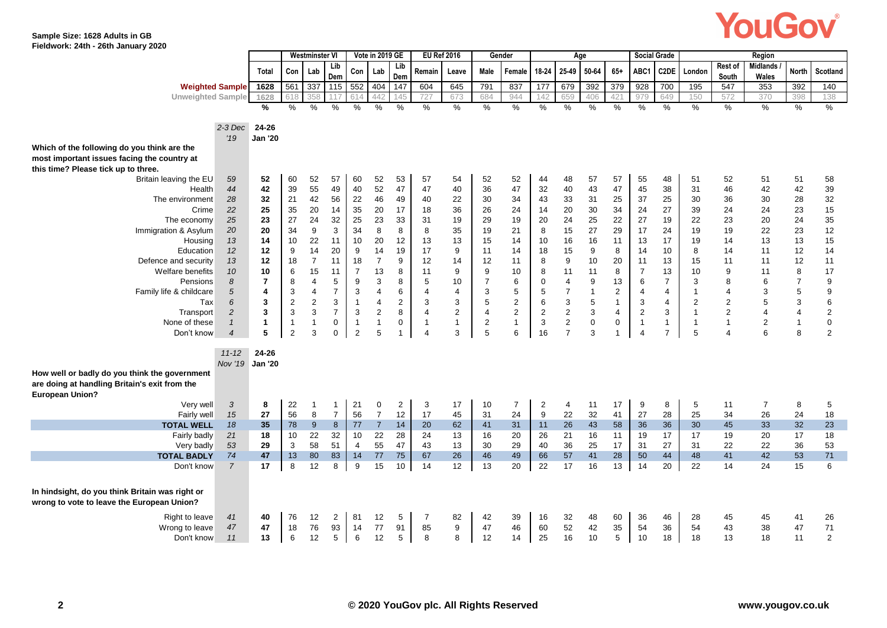

**Sample Size: 1628 Adults in GB Fieldwork: 24th - 26th January 2020**

|                                                 |                         |                | <b>Westminster VI</b> |                |                | Vote in 2019 GE |                | <b>EU Ref 2016</b> |                |                | Gender         |                | Age            |              |                |                | <b>Social Grade</b> |                |                  | Region            |                |                |
|-------------------------------------------------|-------------------------|----------------|-----------------------|----------------|----------------|-----------------|----------------|--------------------|----------------|----------------|----------------|----------------|----------------|--------------|----------------|----------------|---------------------|----------------|------------------|-------------------|----------------|----------------|
|                                                 | Total                   | Con            | Lab                   | Lib<br>Dem     | Con            | Lab             | Lib<br>Dem     | Remain             | Leave          | Male           | Female         | 18-24          | 25-49          | 50-64        | $65+$          | ABC1           | C2DE                | London         | Rest of<br>South | Midlands<br>Wales | <b>North</b>   | Scotland       |
| <b>Weighted Sample</b>                          | 1628                    | 561            | 337                   | 115            | 552            | 404             | 147            | 604                | 645            | 791            | 837            | 177            | 679            | 392          | 379            | 928            | 700                 | 195            | 547              | 353               | 392            | 140            |
| <b>Unweighted Sample</b>                        | 1628                    |                | 358                   |                | 614            | 442             | 45             | 727                | 673            | 684            | 944            | 142            | 659            | 406          | 421            | 979            | 649                 | 150            | 572              | 370               | 398            | 138            |
|                                                 | %                       | %              | %                     | $\%$           | %              | $\%$            | $\%$           | $\%$               | $\frac{0}{0}$  | %              | %              | %              | %              | %            | %              | %              | $\%$                | %              | %                | %                 | %              | $\%$           |
| $2-3$ Dec                                       | 24-26                   |                |                       |                |                |                 |                |                    |                |                |                |                |                |              |                |                |                     |                |                  |                   |                |                |
| '19                                             | <b>Jan '20</b>          |                |                       |                |                |                 |                |                    |                |                |                |                |                |              |                |                |                     |                |                  |                   |                |                |
| Which of the following do you think are the     |                         |                |                       |                |                |                 |                |                    |                |                |                |                |                |              |                |                |                     |                |                  |                   |                |                |
| most important issues facing the country at     |                         |                |                       |                |                |                 |                |                    |                |                |                |                |                |              |                |                |                     |                |                  |                   |                |                |
| this time? Please tick up to three.             |                         |                |                       |                |                |                 |                |                    |                |                |                |                |                |              |                |                |                     |                |                  |                   |                |                |
| 59<br>Britain leaving the EU                    | 52                      | 60             | 52                    | 57             | 60             | 52              | 53             | 57                 | 54             | 52             | 52             | 44             | 48             | 57           | 57             | 55             | 48                  | 51             | 52               | 51                | 51             | 58             |
| 44<br>Health                                    | 42                      | 39             | 55                    | 49             | 40             | 52              | 47             | 47                 | 40             | 36             | 47             | 32             | 40             | 43           | 47             | 45             | 38                  | 31             | 46               | 42                | 42             | 39             |
| The environment<br>28                           | 32                      | 21             | 42                    | 56             | 22             | 46              | 49             | 40                 | 22             | 30             | 34             | 43             | 33             | 31           | 25             | 37             | 25                  | 30             | 36               | 30                | 28             | 32             |
| 22<br>Crime                                     | 25                      | 35             | 20                    | 14             | 35             | 20              | 17             | 18                 | 36             | 26             | 24             | 14             | 20             | 30           | 34             | 24             | 27                  | 39             | 24               | 24                | 23             | 15             |
| 25<br>The economy                               | 23                      | 27             | 24                    | 32             | 25             | 23              | 33             | 31                 | 19             | 29             | 19             | 20             | 24             | 25           | 22             | 27             | 19                  | 22             | 23               | 20                | 24             | 35             |
| Immigration & Asylum<br>20                      | 20                      | 34             | 9                     | 3              | 34             | 8               | 8              | 8                  | 35             | 19             | 21             | 8              | 15             | 27           | 29             | 17             | 24                  | 19             | 19               | 22                | 23             | 12             |
| 13<br>Housing                                   | 14                      | 10             | 22                    | 11             | 10             | 20              | 12             | 13                 | 13             | 15             | 14             | 10             | 16             | 16           | 11             | 13             | 17                  | 19             | 14               | 13                | 13             | 15             |
| 12<br>Education                                 | 12                      | 9              | 14                    | 20             | 9              | 14              | 19             | 17                 | 9              | 11             | 14             | 18             | 15             | 9            | 8              | 14             | 10                  | 8              | 14               | 11                | 12             | 14             |
| 13<br>Defence and security                      | 12                      | 18             | $\overline{7}$        | 11             | 18             | $\overline{7}$  | 9              | 12                 | 14             | 12             | 11             | 8              | 9              | 10           | 20             | 11             | 13                  | 15             | 11               | 11                | 12             | 11             |
| 10<br>Welfare benefits                          | 10                      | 6              | 15                    | 11             | $\overline{7}$ | 13              | 8              | 11                 | 9              | 9              | 10             | 8              | 11             | 11           | 8              | $\overline{7}$ | 13                  | 10             | 9                | 11                | 8              | 17             |
| 8<br>Pensions                                   | $\overline{7}$          | 8              | $\overline{4}$        | 5              | 9              | 3               | 8              | 5                  | 10             | $\overline{7}$ | 6              | $\mathbf 0$    | $\overline{4}$ | 9            | 13             | 6              | $\overline{7}$      | 3              | 8                | 6                 | $\overline{7}$ | 9              |
| 5<br>Family life & childcare                    | $\overline{\mathbf{4}}$ | 3              | $\overline{4}$        | $\overline{7}$ | 3              | $\overline{4}$  | 6              | $\overline{4}$     | $\overline{4}$ | 3              | 5              | 5              | $\overline{7}$ | $\mathbf{1}$ | $\overline{2}$ | $\overline{4}$ | 4                   | $\mathbf{1}$   | $\overline{4}$   | 3                 | 5              | 9              |
| 6<br>Tax                                        | 3                       | $\overline{2}$ | $\overline{2}$        | 3              | $\mathbf{1}$   | $\overline{4}$  | $\overline{2}$ | 3                  | 3              | 5              | $\overline{2}$ | 6              | 3              | 5            | $\mathbf{1}$   | $\mathsf 3$    | $\overline{4}$      | $\overline{2}$ | $\overline{2}$   | 5                 | 3              | 6              |
| $\overline{2}$<br>Transport                     | 3                       | 3              | 3                     | $\overline{7}$ | 3              | 2               | 8              | 4                  | $\overline{2}$ | 4              | $\overline{2}$ | $\overline{2}$ | $\overline{2}$ | 3            | 4              | $\overline{2}$ | 3                   | $\mathbf{1}$   | $\overline{2}$   | $\overline{4}$    | 4              | $\overline{2}$ |
| None of these<br>$\mathbf{1}$                   | $\mathbf{1}$            | $\mathbf{1}$   | $\mathbf{1}$          | 0              | $\mathbf{1}$   | $\mathbf{1}$    | $\mathbf 0$    | $\overline{1}$     | $\mathbf{1}$   | $\overline{2}$ | $\mathbf{1}$   | 3              | $\overline{2}$ | $\pmb{0}$    | $\mathbf 0$    | $\overline{1}$ | $\mathbf{1}$        | $\overline{1}$ | $\mathbf{1}$     | 2                 | $\mathbf{1}$   | $\mathbf 0$    |
| $\overline{4}$<br>Don't know                    | 5                       | 2              | 3                     | $\mathbf 0$    | 2              | 5               | $\mathbf{1}$   | $\overline{4}$     | 3              | 5              | 6              | 16             | $\overline{7}$ | 3            | $\mathbf 1$    | $\overline{4}$ | $\overline{7}$      | 5              | $\overline{4}$   | 6                 | 8              | 2              |
| $11 - 12$                                       | 24-26                   |                |                       |                |                |                 |                |                    |                |                |                |                |                |              |                |                |                     |                |                  |                   |                |                |
| Nov '19 Jan '20                                 |                         |                |                       |                |                |                 |                |                    |                |                |                |                |                |              |                |                |                     |                |                  |                   |                |                |
| How well or badly do you think the government   |                         |                |                       |                |                |                 |                |                    |                |                |                |                |                |              |                |                |                     |                |                  |                   |                |                |
| are doing at handling Britain's exit from the   |                         |                |                       |                |                |                 |                |                    |                |                |                |                |                |              |                |                |                     |                |                  |                   |                |                |
| <b>European Union?</b>                          |                         |                |                       |                |                |                 |                |                    |                |                |                |                |                |              |                |                |                     |                |                  |                   |                |                |
| Very well<br>3                                  | 8                       | 22             | -1                    | $\mathbf{1}$   | 21             | $\mathbf 0$     | $\overline{2}$ | 3                  | 17             | 10             | $\overline{7}$ | $\overline{c}$ | 4              | 11           | 17             | 9              | 8                   | 5              | 11               | $\overline{7}$    | 8              | 5              |
| 15<br>Fairly well                               | 27                      | 56             | 8                     | $\overline{7}$ | 56             | $\overline{7}$  | 12             | 17                 | 45             | 31             | 24             | 9              | 22             | 32           | 41             | 27             | 28                  | 25             | 34               | 26                | 24             | 18             |
| 18<br><b>TOTAL WELL</b>                         | 35                      | 78             | 9                     | 8              | 77             | $\overline{7}$  | 14             | 20                 | 62             | 41             | 31             | 11             | 26             | 43           | 58             | 36             | 36                  | 30             | 45               | 33                | 32             | 23             |
| Fairly badly<br>21                              | 18                      | 10             | 22                    | 32             | 10             | 22              | 28             | 24                 | 13             | 16             | 20             | 26             | 21             | 16           | 11             | 19             | 17                  | 17             | 19               | 20                | 17             | 18             |
| 53<br>Very badly                                | 29                      | 3              | 58                    | 51             | $\overline{4}$ | 55              | 47             | 43                 | 13             | 30             | 29             | 40             | 36             | 25           | 17             | 31             | 27                  | 31             | 22               | 22                | 36             | 53             |
| 74<br><b>TOTAL BADLY</b>                        | 47                      | 13             | 80                    | 83             | 14             | 77              | 75             | 67                 | 26             | 46             | 49             | 66             | 57             | 41           | 28             | 50             | 44                  | 48             | 41               | 42                | 53             | 71             |
| $\overline{7}$<br>Don't know                    | 17                      | 8              | 12                    | 8              | 9              | 15              | 10             | 14                 | 12             | 13             | 20             | 22             | 17             | 16           | 13             | 14             | 20                  | 22             | 14               | 24                | 15             | 6              |
| In hindsight, do you think Britain was right or |                         |                |                       |                |                |                 |                |                    |                |                |                |                |                |              |                |                |                     |                |                  |                   |                |                |
| wrong to vote to leave the European Union?      |                         |                |                       |                |                |                 |                |                    |                |                |                |                |                |              |                |                |                     |                |                  |                   |                |                |
| Right to leave<br>41                            | 40                      | 76             | 12                    | 2              | 81             | 12              | 5              | 7                  | 82             | 42             | 39             | 16             | 32             | 48           | 60             | 36             | 46                  | 28             | 45               | 45                | 41             | 26             |
| Wrong to leave<br>47                            | 47                      | 18             | 76                    | 93             | 14             | 77              | 91             | 85                 | 9              | 47             | 46             | 60             | 52             | 42           | 35             | 54             | 36                  | 54             | 43               | 38                | 47             | 71             |
| Don't know<br>11                                | 13                      | 6              | 12                    | 5              | 6              | 12              | 5              | 8                  | 8              | 12             | 14             | 25             | 16             | 10           | 5              | 10             | 18                  | 18             | 13               | 18                | 11             | $\overline{2}$ |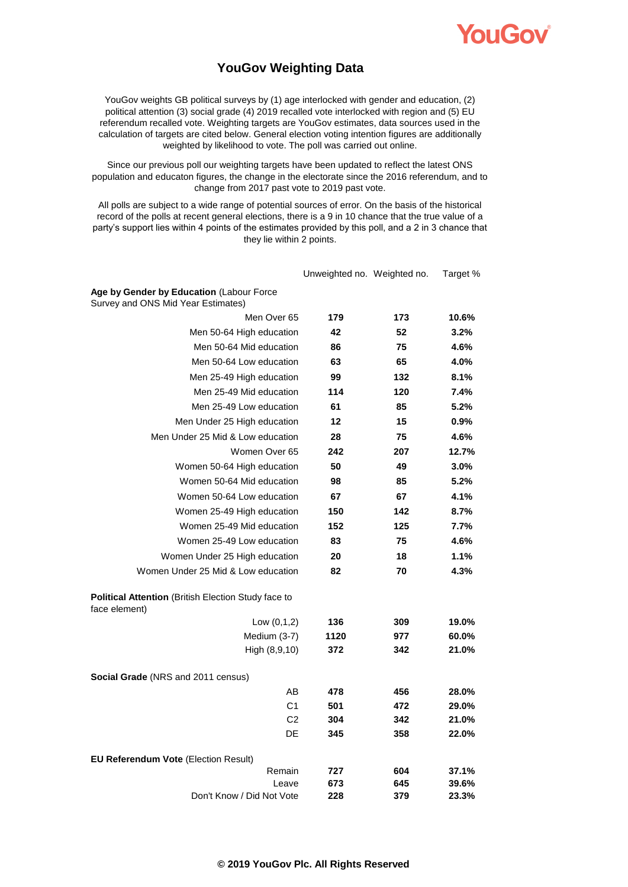

### **YouGov Weighting Data**

YouGov weights GB political surveys by (1) age interlocked with gender and education, (2) political attention (3) social grade (4) 2019 recalled vote interlocked with region and (5) EU referendum recalled vote. Weighting targets are YouGov estimates, data sources used in the calculation of targets are cited below. General election voting intention figures are additionally weighted by likelihood to vote. The poll was carried out online.

Since our previous poll our weighting targets have been updated to reflect the latest ONS population and educaton figures, the change in the electorate since the 2016 referendum, and to change from 2017 past vote to 2019 past vote.

All polls are subject to a wide range of potential sources of error. On the basis of the historical record of the polls at recent general elections, there is a 9 in 10 chance that the true value of a party's support lies within 4 points of the estimates provided by this poll, and a 2 in 3 chance that they lie within 2 points.

|                                                                                | Unweighted no. Weighted no. |     | Target % |
|--------------------------------------------------------------------------------|-----------------------------|-----|----------|
| Age by Gender by Education (Labour Force<br>Survey and ONS Mid Year Estimates) |                             |     |          |
| Men Over 65                                                                    | 179                         | 173 | 10.6%    |
| Men 50-64 High education                                                       | 42                          | 52  | 3.2%     |
| Men 50-64 Mid education                                                        | 86                          | 75  | 4.6%     |
| Men 50-64 Low education                                                        | 63                          | 65  | 4.0%     |
| Men 25-49 High education                                                       | 99                          | 132 | 8.1%     |
| Men 25-49 Mid education                                                        | 114                         | 120 | 7.4%     |
| Men 25-49 Low education                                                        | 61                          | 85  | 5.2%     |
| Men Under 25 High education                                                    | 12                          | 15  | 0.9%     |
| Men Under 25 Mid & Low education                                               | 28                          | 75  | 4.6%     |
| Women Over 65                                                                  | 242                         | 207 | 12.7%    |
| Women 50-64 High education                                                     | 50                          | 49  | 3.0%     |
| Women 50-64 Mid education                                                      | 98                          | 85  | 5.2%     |
| Women 50-64 Low education                                                      | 67                          | 67  | 4.1%     |
| Women 25-49 High education                                                     | 150                         | 142 | 8.7%     |
| Women 25-49 Mid education                                                      | 152                         | 125 | 7.7%     |
| Women 25-49 Low education                                                      | 83                          | 75  | 4.6%     |
| Women Under 25 High education                                                  | 20                          | 18  | 1.1%     |
| Women Under 25 Mid & Low education                                             | 82                          | 70  | 4.3%     |
| Political Attention (British Election Study face to<br>face element)           |                             |     |          |
| Low $(0,1,2)$                                                                  | 136                         | 309 | 19.0%    |
| Medium (3-7)                                                                   | 1120                        | 977 | 60.0%    |
| High (8,9,10)                                                                  | 372                         | 342 | 21.0%    |
| <b>Social Grade</b> (NRS and 2011 census)                                      |                             |     |          |
| AB                                                                             | 478                         | 456 | 28.0%    |
| C <sub>1</sub>                                                                 | 501                         | 472 | 29.0%    |
| C <sub>2</sub>                                                                 | 304                         | 342 | 21.0%    |
| DE                                                                             | 345                         | 358 | 22.0%    |
| EU Referendum Vote (Election Result)                                           |                             |     |          |
| Remain                                                                         | 727                         | 604 | 37.1%    |
| Leave                                                                          | 673                         | 645 | 39.6%    |
| Don't Know / Did Not Vote                                                      | 228                         | 379 | 23.3%    |